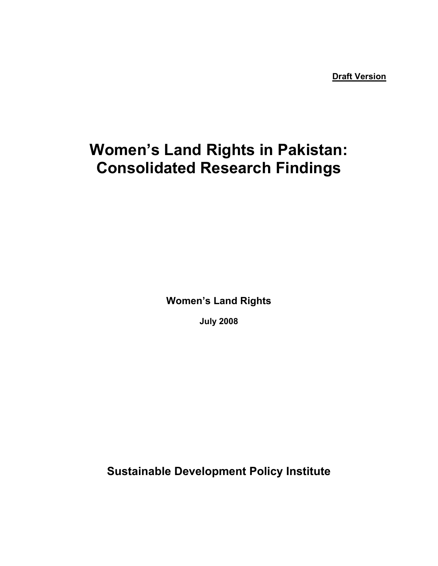**Draft Version**

# **Women's Land Rights in Pakistan: Consolidated Research Findings**

**Women's Land Rights** 

**July 2008** 

**Sustainable Development Policy Institute**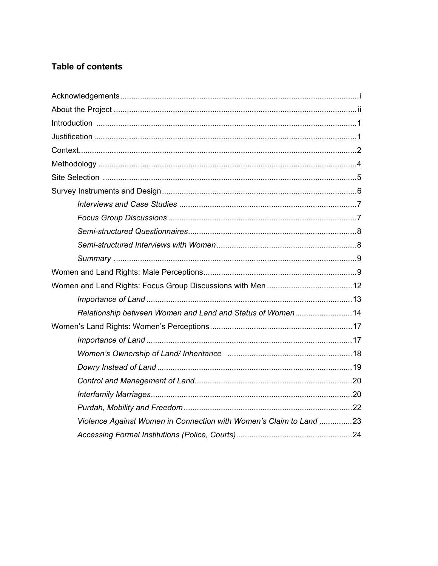# **Table of contents**

| Relationship between Women and Land and Status of Women14          |  |
|--------------------------------------------------------------------|--|
|                                                                    |  |
|                                                                    |  |
|                                                                    |  |
|                                                                    |  |
|                                                                    |  |
|                                                                    |  |
|                                                                    |  |
| Violence Against Women in Connection with Women's Claim to Land 23 |  |
|                                                                    |  |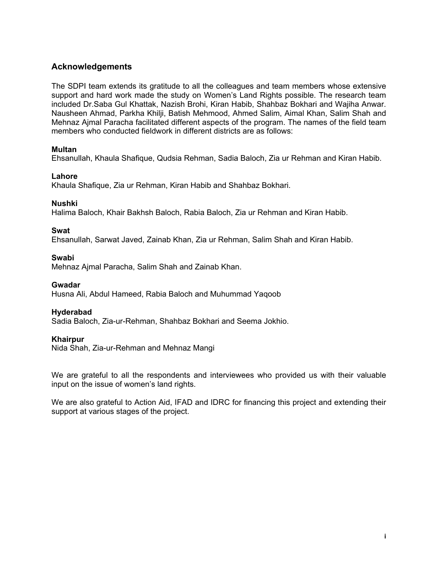#### **Acknowledgements**

The SDPI team extends its gratitude to all the colleagues and team members whose extensive support and hard work made the study on Women's Land Rights possible. The research team included Dr.Saba Gul Khattak, Nazish Brohi, Kiran Habib, Shahbaz Bokhari and Wajiha Anwar. Nausheen Ahmad, Parkha Khilji, Batish Mehmood, Ahmed Salim, Aimal Khan, Salim Shah and Mehnaz Ajmal Paracha facilitated different aspects of the program. The names of the field team members who conducted fieldwork in different districts are as follows:

#### **Multan**

Ehsanullah, Khaula Shafique, Qudsia Rehman, Sadia Baloch, Zia ur Rehman and Kiran Habib.

#### **Lahore**

Khaula Shafique, Zia ur Rehman, Kiran Habib and Shahbaz Bokhari.

#### **Nushki**

Halima Baloch, Khair Bakhsh Baloch, Rabia Baloch, Zia ur Rehman and Kiran Habib.

#### **Swat**

Ehsanullah, Sarwat Javed, Zainab Khan, Zia ur Rehman, Salim Shah and Kiran Habib.

#### **Swabi**

Mehnaz Ajmal Paracha, Salim Shah and Zainab Khan.

#### **Gwadar**

Husna Ali, Abdul Hameed, Rabia Baloch and Muhummad Yaqoob

#### **Hyderabad**

Sadia Baloch, Zia-ur-Rehman, Shahbaz Bokhari and Seema Jokhio.

#### **Khairpur**

Nida Shah, Zia-ur-Rehman and Mehnaz Mangi

We are grateful to all the respondents and interviewees who provided us with their valuable input on the issue of women's land rights.

We are also grateful to Action Aid, IFAD and IDRC for financing this project and extending their support at various stages of the project.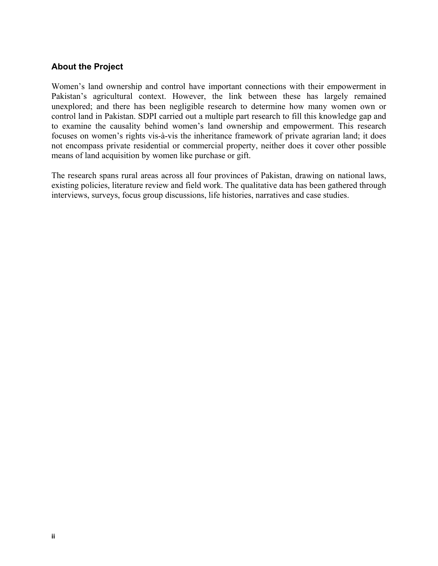# **About the Project**

Women's land ownership and control have important connections with their empowerment in Pakistan's agricultural context. However, the link between these has largely remained unexplored; and there has been negligible research to determine how many women own or control land in Pakistan. SDPI carried out a multiple part research to fill this knowledge gap and to examine the causality behind women's land ownership and empowerment. This research focuses on women's rights vis-à-vis the inheritance framework of private agrarian land; it does not encompass private residential or commercial property, neither does it cover other possible means of land acquisition by women like purchase or gift.

The research spans rural areas across all four provinces of Pakistan, drawing on national laws, existing policies, literature review and field work. The qualitative data has been gathered through interviews, surveys, focus group discussions, life histories, narratives and case studies.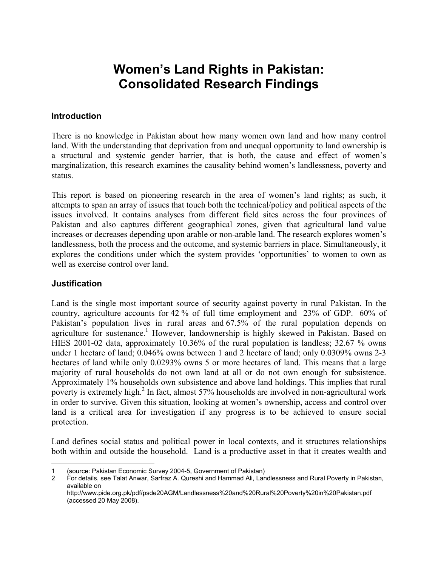# **Women's Land Rights in Pakistan: Consolidated Research Findings**

#### **Introduction**

There is no knowledge in Pakistan about how many women own land and how many control land. With the understanding that deprivation from and unequal opportunity to land ownership is a structural and systemic gender barrier, that is both, the cause and effect of women's marginalization, this research examines the causality behind women's landlessness, poverty and status.

This report is based on pioneering research in the area of women's land rights; as such, it attempts to span an array of issues that touch both the technical/policy and political aspects of the issues involved. It contains analyses from different field sites across the four provinces of Pakistan and also captures different geographical zones, given that agricultural land value increases or decreases depending upon arable or non-arable land. The research explores women's landlessness, both the process and the outcome, and systemic barriers in place. Simultaneously, it explores the conditions under which the system provides 'opportunities' to women to own as well as exercise control over land.

#### **Justification**

Land is the single most important source of security against poverty in rural Pakistan. In the country, agriculture accounts for 42 % of full time employment and 23% of GDP. 60% of Pakistan's population lives in rural areas and 67.5% of the rural population depends on agriculture for sustenance.<sup>1</sup> However, landownership is highly skewed in Pakistan. Based on HIES 2001-02 data, approximately 10.36% of the rural population is landless; 32.67 % owns under 1 hectare of land; 0.046% owns between 1 and 2 hectare of land; only 0.0309% owns 2-3 hectares of land while only 0.0293% owns 5 or more hectares of land. This means that a large majority of rural households do not own land at all or do not own enough for subsistence. Approximately 1% households own subsistence and above land holdings. This implies that rural poverty is extremely high.<sup>2</sup> In fact, almost 57% households are involved in non-agricultural work in order to survive. Given this situation, looking at women's ownership, access and control over land is a critical area for investigation if any progress is to be achieved to ensure social protection.

Land defines social status and political power in local contexts, and it structures relationships both within and outside the household. Land is a productive asset in that it creates wealth and

 $\overline{a}$ 1 (source: Pakistan Economic Survey 2004-5, Government of Pakistan)

<span id="page-6-1"></span><span id="page-6-0"></span><sup>2</sup> For details, see Talat Anwar, Sarfraz A. Qureshi and Hammad Ali, Landlessness and Rural Poverty in Pakistan, available on

http://www.pide.org.pk/pdf/psde20AGM/Landlessness%20and%20Rural%20Poverty%20in%20Pakistan.pdf (accessed 20 May 2008).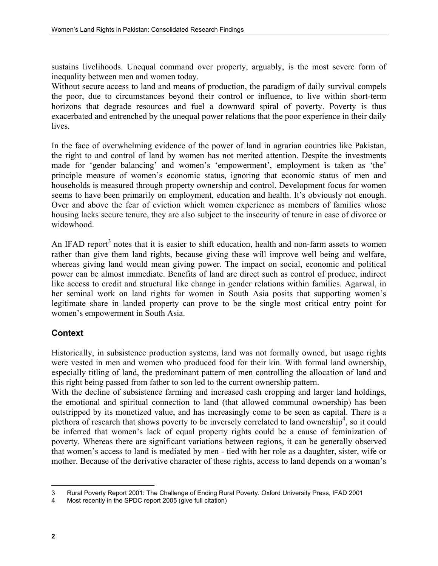sustains livelihoods. Unequal command over property, arguably, is the most severe form of inequality between men and women today.

Without secure access to land and means of production, the paradigm of daily survival compels the poor, due to circumstances beyond their control or influence, to live within short-term horizons that degrade resources and fuel a downward spiral of poverty. Poverty is thus exacerbated and entrenched by the unequal power relations that the poor experience in their daily lives.

In the face of overwhelming evidence of the power of land in agrarian countries like Pakistan, the right to and control of land by women has not merited attention. Despite the investments made for 'gender balancing' and women's 'empowerment', employment is taken as 'the' principle measure of women's economic status, ignoring that economic status of men and households is measured through property ownership and control. Development focus for women seems to have been primarily on employment, education and health. It's obviously not enough. Over and above the fear of eviction which women experience as members of families whose housing lacks secure tenure, they are also subject to the insecurity of tenure in case of divorce or widowhood.

AnIFAD report<sup>3</sup> notes that it is easier to shift education, health and non-farm assets to women rather than give them land rights, because giving these will improve well being and welfare, whereas giving land would mean giving power. The impact on social, economic and political power can be almost immediate. Benefits of land are direct such as control of produce, indirect like access to credit and structural like change in gender relations within families. Agarwal, in her seminal work on land rights for women in South Asia posits that supporting women's legitimate share in landed property can prove to be the single most critical entry point for women's empowerment in South Asia.

# **Context**

Historically, in subsistence production systems, land was not formally owned, but usage rights were vested in men and women who produced food for their kin. With formal land ownership, especially titling of land, the predominant pattern of men controlling the allocation of land and this right being passed from father to son led to the current ownership pattern.

With the decline of subsistence farming and increased cash cropping and larger land holdings, the emotional and spiritual connection to land (that allowed communal ownership) has been outstripped by its monetized value, and has increasingly come to be seen as capital. There is a plethora of research that shows poverty to be inversely correlated to land ownership<sup>[4](#page-7-1)</sup>, so it could be inferred that women's lack of equal property rights could be a cause of feminization of poverty. Whereas there are significant variations between regions, it can be generally observed that women's access to land is mediated by men - tied with her role as a daughter, sister, wife or mother. Because of the derivative character of these rights, access to land depends on a woman's

 $\overline{a}$ 3 Rural Poverty Report 2001: The Challenge of Ending Rural Poverty. Oxford University Press, IFAD 2001

<span id="page-7-1"></span><span id="page-7-0"></span><sup>4</sup> Most recently in the SPDC report 2005 (give full citation)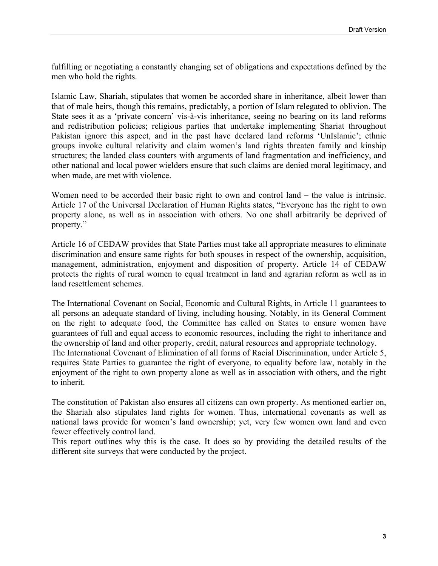fulfilling or negotiating a constantly changing set of obligations and expectations defined by the men who hold the rights.

Islamic Law, Shariah, stipulates that women be accorded share in inheritance, albeit lower than that of male heirs, though this remains, predictably, a portion of Islam relegated to oblivion. The State sees it as a 'private concern' vis-à-vis inheritance, seeing no bearing on its land reforms and redistribution policies; religious parties that undertake implementing Shariat throughout Pakistan ignore this aspect, and in the past have declared land reforms 'UnIslamic'; ethnic groups invoke cultural relativity and claim women's land rights threaten family and kinship structures; the landed class counters with arguments of land fragmentation and inefficiency, and other national and local power wielders ensure that such claims are denied moral legitimacy, and when made, are met with violence.

Women need to be accorded their basic right to own and control land – the value is intrinsic. Article 17 of the Universal Declaration of Human Rights states, "Everyone has the right to own property alone, as well as in association with others. No one shall arbitrarily be deprived of property."

Article 16 of CEDAW provides that State Parties must take all appropriate measures to eliminate discrimination and ensure same rights for both spouses in respect of the ownership, acquisition, management, administration, enjoyment and disposition of property. Article 14 of CEDAW protects the rights of rural women to equal treatment in land and agrarian reform as well as in land resettlement schemes.

The International Covenant on Social, Economic and Cultural Rights, in Article 11 guarantees to all persons an adequate standard of living, including housing. Notably, in its General Comment on the right to adequate food, the Committee has called on States to ensure women have guarantees of full and equal access to economic resources, including the right to inheritance and the ownership of land and other property, credit, natural resources and appropriate technology. The International Covenant of Elimination of all forms of Racial Discrimination, under Article 5, requires State Parties to guarantee the right of everyone, to equality before law, notably in the enjoyment of the right to own property alone as well as in association with others, and the right to inherit.

The constitution of Pakistan also ensures all citizens can own property. As mentioned earlier on, the Shariah also stipulates land rights for women. Thus, international covenants as well as national laws provide for women's land ownership; yet, very few women own land and even fewer effectively control land.

This report outlines why this is the case. It does so by providing the detailed results of the different site surveys that were conducted by the project.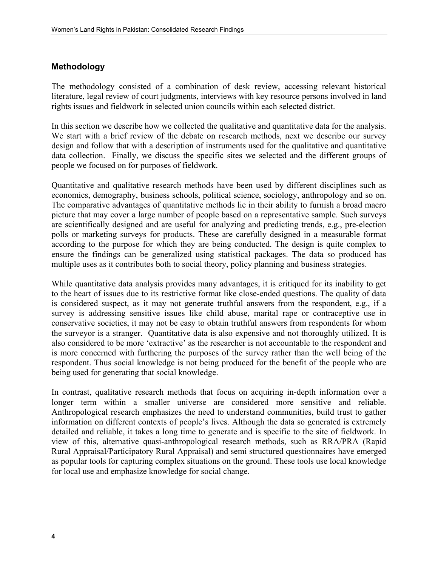# **Methodology**

The methodology consisted of a combination of desk review, accessing relevant historical literature, legal review of court judgments, interviews with key resource persons involved in land rights issues and fieldwork in selected union councils within each selected district.

In this section we describe how we collected the qualitative and quantitative data for the analysis. We start with a brief review of the debate on research methods, next we describe our survey design and follow that with a description of instruments used for the qualitative and quantitative data collection.Finally, we discuss the specific sites we selected and the different groups of people we focused on for purposes of fieldwork.

Quantitative and qualitative research methods have been used by different disciplines such as economics, demography, business schools, political science, sociology, anthropology and so on. The comparative advantages of quantitative methods lie in their ability to furnish a broad macro picture that may cover a large number of people based on a representative sample. Such surveys are scientifically designed and are useful for analyzing and predicting trends, e.g., pre-election polls or marketing surveys for products. These are carefully designed in a measurable format according to the purpose for which they are being conducted. The design is quite complex to ensure the findings can be generalized using statistical packages. The data so produced has multiple uses as it contributes both to social theory, policy planning and business strategies.

While quantitative data analysis provides many advantages, it is critiqued for its inability to get to the heart of issues due to its restrictive format like close-ended questions. The quality of data is considered suspect, as it may not generate truthful answers from the respondent, e.g., if a survey is addressing sensitive issues like child abuse, marital rape or contraceptive use in conservative societies, it may not be easy to obtain truthful answers from respondents for whom the surveyor is a stranger. Quantitative data is also expensive and not thoroughly utilized. It is also considered to be more 'extractive' as the researcher is not accountable to the respondent and is more concerned with furthering the purposes of the survey rather than the well being of the respondent. Thus social knowledge is not being produced for the benefit of the people who are being used for generating that social knowledge.

In contrast, qualitative research methods that focus on acquiring in-depth information over a longer term within a smaller universe are considered more sensitive and reliable. Anthropological research emphasizes the need to understand communities, build trust to gather information on different contexts of people's lives. Although the data so generated is extremely detailed and reliable, it takes a long time to generate and is specific to the site of fieldwork. In view of this, alternative quasi-anthropological research methods, such as RRA/PRA (Rapid Rural Appraisal/Participatory Rural Appraisal) and semi structured questionnaires have emerged as popular tools for capturing complex situations on the ground. These tools use local knowledge for local use and emphasize knowledge for social change.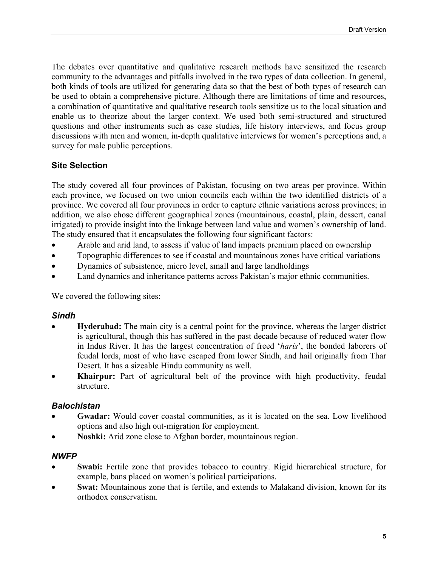The debates over quantitative and qualitative research methods have sensitized the research community to the advantages and pitfalls involved in the two types of data collection. In general, both kinds of tools are utilized for generating data so that the best of both types of research can be used to obtain a comprehensive picture. Although there are limitations of time and resources, a combination of quantitative and qualitative research tools sensitize us to the local situation and enable us to theorize about the larger context. We used both semi-structured and structured questions and other instruments such as case studies, life history interviews, and focus group discussions with men and women, in-depth qualitative interviews for women's perceptions and, a survey for male public perceptions.

# **Site Selection**

The study covered all four provinces of Pakistan, focusing on two areas per province. Within each province, we focused on two union councils each within the two identified districts of a province. We covered all four provinces in order to capture ethnic variations across provinces; in addition, we also chose different geographical zones (mountainous, coastal, plain, dessert, canal irrigated) to provide insight into the linkage between land value and women's ownership of land. The study ensured that it encapsulates the following four significant factors:

- Arable and arid land, to assess if value of land impacts premium placed on ownership
- Topographic differences to see if coastal and mountainous zones have critical variations
- Dynamics of subsistence, micro level, small and large landholdings
- Land dynamics and inheritance patterns across Pakistan's major ethnic communities.

We covered the following sites:

#### *Sindh*

- **Hyderabad:** The main city is a central point for the province, whereas the larger district is agricultural, though this has suffered in the past decade because of reduced water flow in Indus River. It has the largest concentration of freed '*haris*', the bonded laborers of feudal lords, most of who have escaped from lower Sindh, and hail originally from Thar Desert. It has a sizeable Hindu community as well.
- **Khairpur:** Part of agricultural belt of the province with high productivity, feudal structure.

#### *Balochistan*

- Gwadar: Would cover coastal communities, as it is located on the sea. Low livelihood options and also high out-migration for employment.
- **Noshki:** Arid zone close to Afghan border, mountainous region.

#### *NWFP*

- **Swabi:** Fertile zone that provides tobacco to country. Rigid hierarchical structure, for example, bans placed on women's political participations.
- **Swat:** Mountainous zone that is fertile, and extends to Malakand division, known for its orthodox conservatism.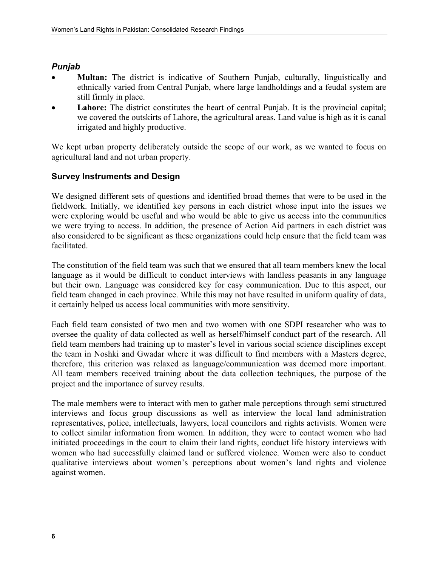# *Punjab*

- **Multan:** The district is indicative of Southern Punjab, culturally, linguistically and ethnically varied from Central Punjab, where large landholdings and a feudal system are still firmly in place.
- Lahore: The district constitutes the heart of central Punjab. It is the provincial capital; we covered the outskirts of Lahore, the agricultural areas. Land value is high as it is canal irrigated and highly productive.

We kept urban property deliberately outside the scope of our work, as we wanted to focus on agricultural land and not urban property.

# **Survey Instruments and Design**

We designed different sets of questions and identified broad themes that were to be used in the fieldwork. Initially, we identified key persons in each district whose input into the issues we were exploring would be useful and who would be able to give us access into the communities we were trying to access. In addition, the presence of Action Aid partners in each district was also considered to be significant as these organizations could help ensure that the field team was facilitated.

The constitution of the field team was such that we ensured that all team members knew the local language as it would be difficult to conduct interviews with landless peasants in any language but their own. Language was considered key for easy communication. Due to this aspect, our field team changed in each province. While this may not have resulted in uniform quality of data, it certainly helped us access local communities with more sensitivity.

Each field team consisted of two men and two women with one SDPI researcher who was to oversee the quality of data collected as well as herself/himself conduct part of the research. All field team members had training up to master's level in various social science disciplines except the team in Noshki and Gwadar where it was difficult to find members with a Masters degree, therefore, this criterion was relaxed as language/communication was deemed more important. All team members received training about the data collection techniques, the purpose of the project and the importance of survey results.

The male members were to interact with men to gather male perceptions through semi structured interviews and focus group discussions as well as interview the local land administration representatives, police, intellectuals, lawyers, local councilors and rights activists. Women were to collect similar information from women. In addition, they were to contact women who had initiated proceedings in the court to claim their land rights, conduct life history interviews with women who had successfully claimed land or suffered violence. Women were also to conduct qualitative interviews about women's perceptions about women's land rights and violence against women.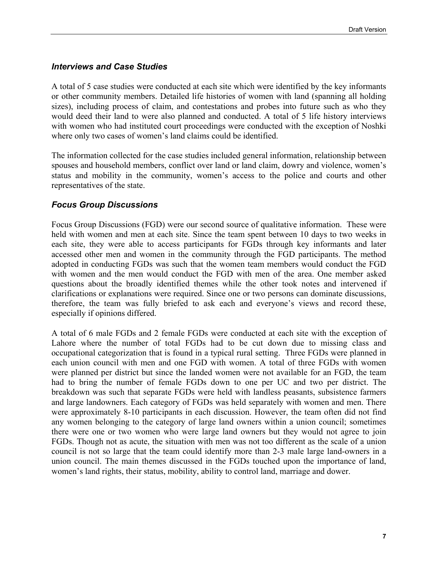# *Interviews and Case Studies*

A total of 5 case studies were conducted at each site which were identified by the key informants or other community members. Detailed life histories of women with land (spanning all holding sizes), including process of claim, and contestations and probes into future such as who they would deed their land to were also planned and conducted. A total of 5 life history interviews with women who had instituted court proceedings were conducted with the exception of Noshki where only two cases of women's land claims could be identified.

The information collected for the case studies included general information, relationship between spouses and household members, conflict over land or land claim, dowry and violence, women's status and mobility in the community, women's access to the police and courts and other representatives of the state.

### *Focus Group Discussions*

Focus Group Discussions (FGD) were our second source of qualitative information. These were held with women and men at each site. Since the team spent between 10 days to two weeks in each site, they were able to access participants for FGDs through key informants and later accessed other men and women in the community through the FGD participants. The method adopted in conducting FGDs was such that the women team members would conduct the FGD with women and the men would conduct the FGD with men of the area. One member asked questions about the broadly identified themes while the other took notes and intervened if clarifications or explanations were required. Since one or two persons can dominate discussions, therefore, the team was fully briefed to ask each and everyone's views and record these, especially if opinions differed.

A total of 6 male FGDs and 2 female FGDs were conducted at each site with the exception of Lahore where the number of total FGDs had to be cut down due to missing class and occupational categorization that is found in a typical rural setting. Three FGDs were planned in each union council with men and one FGD with women. A total of three FGDs with women were planned per district but since the landed women were not available for an FGD, the team had to bring the number of female FGDs down to one per UC and two per district. The breakdown was such that separate FGDs were held with landless peasants, subsistence farmers and large landowners. Each category of FGDs was held separately with women and men. There were approximately 8-10 participants in each discussion. However, the team often did not find any women belonging to the category of large land owners within a union council; sometimes there were one or two women who were large land owners but they would not agree to join FGDs. Though not as acute, the situation with men was not too different as the scale of a union council is not so large that the team could identify more than 2-3 male large land-owners in a union council. The main themes discussed in the FGDs touched upon the importance of land, women's land rights, their status, mobility, ability to control land, marriage and dower.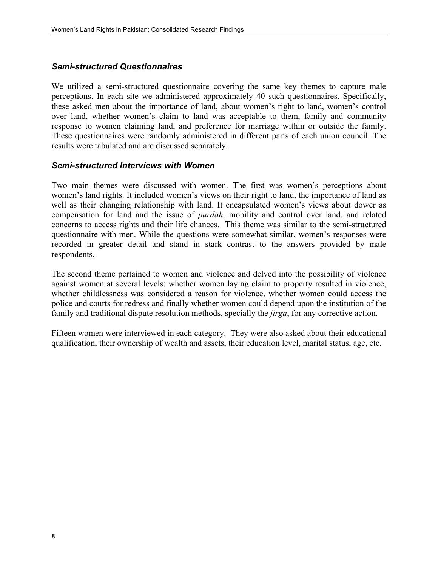#### *Semi-structured Questionnaires*

We utilized a semi-structured questionnaire covering the same key themes to capture male perceptions. In each site we administered approximately 40 such questionnaires. Specifically, these asked men about the importance of land, about women's right to land, women's control over land, whether women's claim to land was acceptable to them, family and community response to women claiming land, and preference for marriage within or outside the family. These questionnaires were randomly administered in different parts of each union council. The results were tabulated and are discussed separately.

#### *Semi-structured Interviews with Women*

Two main themes were discussed with women. The first was women's perceptions about women's land rights. It included women's views on their right to land, the importance of land as well as their changing relationship with land. It encapsulated women's views about dower as compensation for land and the issue of *purdah,* mobility and control over land, and related concerns to access rights and their life chances. This theme was similar to the semi-structured questionnaire with men. While the questions were somewhat similar, women's responses were recorded in greater detail and stand in stark contrast to the answers provided by male respondents.

The second theme pertained to women and violence and delved into the possibility of violence against women at several levels: whether women laying claim to property resulted in violence, whether childlessness was considered a reason for violence, whether women could access the police and courts for redress and finally whether women could depend upon the institution of the family and traditional dispute resolution methods, specially the *jirga*, for any corrective action.

Fifteen women were interviewed in each category. They were also asked about their educational qualification, their ownership of wealth and assets, their education level, marital status, age, etc.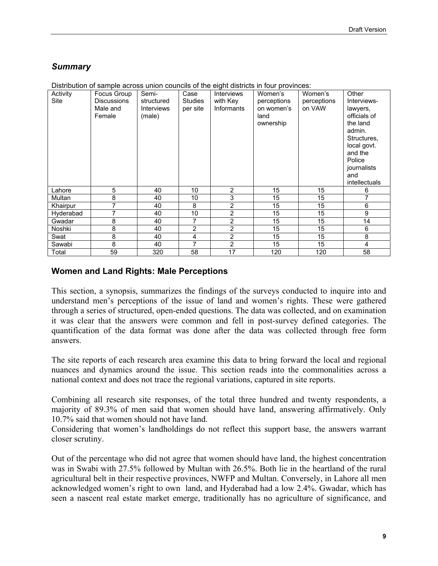# *Summary*

| Activity<br><b>Site</b> | Focus Group<br><b>Discussions</b><br>Male and<br>Female | Semi-<br>structured<br>Interviews<br>(male) | Case<br><b>Studies</b><br>per site | <b>Interviews</b><br>with Key<br>Informants | Women's<br>perceptions<br>on women's<br>land<br>ownership | Women's<br>perceptions<br>on VAW | Other<br>Interviews-<br>lawyers,<br>officials of<br>the land<br>admin.<br>Structures.<br>local govt.<br>and the<br>Police<br>journalists<br>and<br><i>intellectuals</i> |
|-------------------------|---------------------------------------------------------|---------------------------------------------|------------------------------------|---------------------------------------------|-----------------------------------------------------------|----------------------------------|-------------------------------------------------------------------------------------------------------------------------------------------------------------------------|
| Lahore                  | 5                                                       | 40                                          | 10                                 | 2                                           | 15                                                        | 15                               | 6                                                                                                                                                                       |
| Multan                  | 8                                                       | 40                                          | 10                                 | 3                                           | 15                                                        | 15                               | 7                                                                                                                                                                       |
| Khairpur                | 7                                                       | 40                                          | 8                                  | $\overline{2}$                              | 15                                                        | 15                               | 6                                                                                                                                                                       |
| Hyderabad               | 7                                                       | 40                                          | 10                                 | $\overline{2}$                              | 15                                                        | 15                               | 9                                                                                                                                                                       |
| Gwadar                  | 8                                                       | 40                                          | 7                                  | 2                                           | 15                                                        | 15                               | 14                                                                                                                                                                      |
| Noshki                  | 8                                                       | 40                                          | $\overline{2}$                     | $\overline{2}$                              | 15                                                        | 15                               | 6                                                                                                                                                                       |
| Swat                    | 8                                                       | 40                                          | 4                                  | $\overline{2}$                              | 15                                                        | 15                               | 8                                                                                                                                                                       |
| Sawabi                  | 8                                                       | 40                                          | 7                                  | $\overline{2}$                              | 15                                                        | 15                               | 4                                                                                                                                                                       |
| Total                   | 59                                                      | 320                                         | 58                                 | 17                                          | 120                                                       | 120                              | 58                                                                                                                                                                      |

Distribution of sample across union councils of the eight districts in four provinces:

#### **Women and Land Rights: Male Perceptions**

This section, a synopsis, summarizes the findings of the surveys conducted to inquire into and understand men's perceptions of the issue of land and women's rights. These were gathered through a series of structured, open-ended questions. The data was collected, and on examination it was clear that the answers were common and fell in post-survey defined categories. The quantification of the data format was done after the data was collected through free form answers.

The site reports of each research area examine this data to bring forward the local and regional nuances and dynamics around the issue. This section reads into the commonalities across a national context and does not trace the regional variations, captured in site reports.

Combining all research site responses, of the total three hundred and twenty respondents, a majority of 89.3% of men said that women should have land, answering affirmatively. Only 10.7% said that women should not have land.

Considering that women's landholdings do not reflect this support base, the answers warrant closer scrutiny.

Out of the percentage who did not agree that women should have land, the highest concentration was in Swabi with 27.5% followed by Multan with 26.5%. Both lie in the heartland of the rural agricultural belt in their respective provinces, NWFP and Multan. Conversely, in Lahore all men acknowledged women's right to own land, and Hyderabad had a low 2.4%. Gwadar, which has seen a nascent real estate market emerge, traditionally has no agriculture of significance, and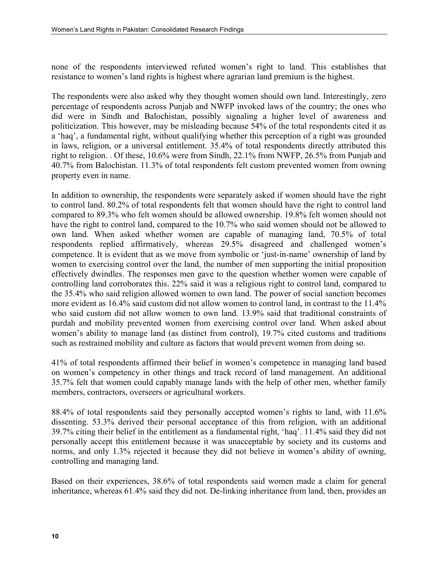none of the respondents interviewed refuted women's right to land. This establishes that resistance to women's land rights is highest where agrarian land premium is the highest.

The respondents were also asked why they thought women should own land. Interestingly, zero percentage of respondents across Punjab and NWFP invoked laws of the country; the ones who did were in Sindh and Balochistan, possibly signaling a higher level of awareness and politicization. This however, may be misleading because 54% of the total respondents cited it as a 'haq', a fundamental right, without qualifying whether this perception of a right was grounded in laws, religion, or a universal entitlement. 35.4% of total respondents directly attributed this right to religion. . Of these, 10.6% were from Sindh, 22.1% from NWFP, 26.5% from Punjab and 40.7% from Balochistan. 11.3% of total respondents felt custom prevented women from owning property even in name.

In addition to ownership, the respondents were separately asked if women should have the right to control land. 80.2% of total respondents felt that women should have the right to control land compared to 89.3% who felt women should be allowed ownership. 19.8% felt women should not have the right to control land, compared to the 10.7% who said women should not be allowed to own land. When asked whether women are capable of managing land, 70.5% of total respondents replied affirmatively, whereas 29.5% disagreed and challenged women's competence. It is evident that as we move from symbolic or 'just-in-name' ownership of land by women to exercising control over the land, the number of men supporting the initial proposition effectively dwindles. The responses men gave to the question whether women were capable of controlling land corroborates this. 22% said it was a religious right to control land, compared to the 35.4% who said religion allowed women to own land. The power of social sanction becomes more evident as 16.4% said custom did not allow women to control land, in contrast to the 11.4% who said custom did not allow women to own land. 13.9% said that traditional constraints of purdah and mobility prevented women from exercising control over land. When asked about women's ability to manage land (as distinct from control), 19.7% cited customs and traditions such as restrained mobility and culture as factors that would prevent women from doing so.

41% of total respondents affirmed their belief in women's competence in managing land based on women's competency in other things and track record of land management. An additional 35.7% felt that women could capably manage lands with the help of other men, whether family members, contractors, overseers or agricultural workers.

88.4% of total respondents said they personally accepted women's rights to land, with 11.6% dissenting. 53.3% derived their personal acceptance of this from religion, with an additional 39.7% citing their belief in the entitlement as a fundamental right, 'haq'. 11.4% said they did not personally accept this entitlement because it was unacceptable by society and its customs and norms, and only 1.3% rejected it because they did not believe in women's ability of owning, controlling and managing land.

Based on their experiences, 38.6% of total respondents said women made a claim for general inheritance, whereas 61.4% said they did not. De-linking inheritance from land, then, provides an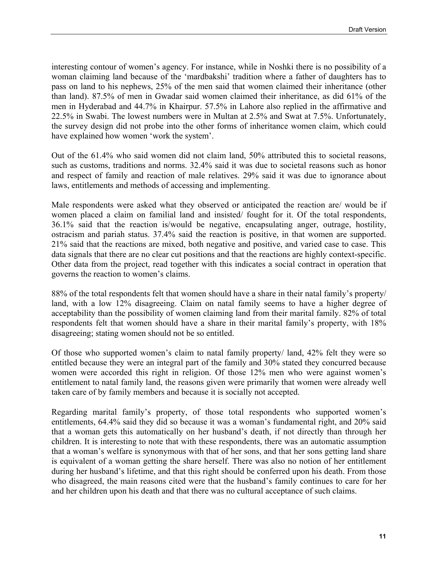interesting contour of women's agency. For instance, while in Noshki there is no possibility of a woman claiming land because of the 'mardbakshi' tradition where a father of daughters has to pass on land to his nephews, 25% of the men said that women claimed their inheritance (other than land). 87.5% of men in Gwadar said women claimed their inheritance, as did 61% of the men in Hyderabad and 44.7% in Khairpur. 57.5% in Lahore also replied in the affirmative and 22.5% in Swabi. The lowest numbers were in Multan at 2.5% and Swat at 7.5%. Unfortunately, the survey design did not probe into the other forms of inheritance women claim, which could have explained how women 'work the system'.

Out of the 61.4% who said women did not claim land, 50% attributed this to societal reasons, such as customs, traditions and norms. 32.4% said it was due to societal reasons such as honor and respect of family and reaction of male relatives. 29% said it was due to ignorance about laws, entitlements and methods of accessing and implementing.

Male respondents were asked what they observed or anticipated the reaction are/ would be if women placed a claim on familial land and insisted/ fought for it. Of the total respondents, 36.1% said that the reaction is/would be negative, encapsulating anger, outrage, hostility, ostracism and pariah status. 37.4% said the reaction is positive, in that women are supported. 21% said that the reactions are mixed, both negative and positive, and varied case to case. This data signals that there are no clear cut positions and that the reactions are highly context-specific. Other data from the project, read together with this indicates a social contract in operation that governs the reaction to women's claims.

88% of the total respondents felt that women should have a share in their natal family's property/ land, with a low 12% disagreeing. Claim on natal family seems to have a higher degree of acceptability than the possibility of women claiming land from their marital family. 82% of total respondents felt that women should have a share in their marital family's property, with 18% disagreeing; stating women should not be so entitled.

Of those who supported women's claim to natal family property/ land, 42% felt they were so entitled because they were an integral part of the family and 30% stated they concurred because women were accorded this right in religion. Of those 12% men who were against women's entitlement to natal family land, the reasons given were primarily that women were already well taken care of by family members and because it is socially not accepted.

Regarding marital family's property, of those total respondents who supported women's entitlements, 64.4% said they did so because it was a woman's fundamental right, and 20% said that a woman gets this automatically on her husband's death, if not directly than through her children. It is interesting to note that with these respondents, there was an automatic assumption that a woman's welfare is synonymous with that of her sons, and that her sons getting land share is equivalent of a woman getting the share herself. There was also no notion of her entitlement during her husband's lifetime, and that this right should be conferred upon his death. From those who disagreed, the main reasons cited were that the husband's family continues to care for her and her children upon his death and that there was no cultural acceptance of such claims.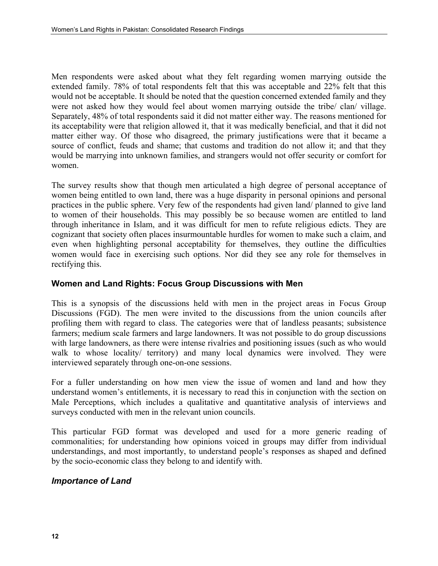Men respondents were asked about what they felt regarding women marrying outside the extended family. 78% of total respondents felt that this was acceptable and 22% felt that this would not be acceptable. It should be noted that the question concerned extended family and they were not asked how they would feel about women marrying outside the tribe/ clan/ village. Separately, 48% of total respondents said it did not matter either way. The reasons mentioned for its acceptability were that religion allowed it, that it was medically beneficial, and that it did not matter either way. Of those who disagreed, the primary justifications were that it became a source of conflict, feuds and shame; that customs and tradition do not allow it; and that they would be marrying into unknown families, and strangers would not offer security or comfort for women.

The survey results show that though men articulated a high degree of personal acceptance of women being entitled to own land, there was a huge disparity in personal opinions and personal practices in the public sphere. Very few of the respondents had given land/ planned to give land to women of their households. This may possibly be so because women are entitled to land through inheritance in Islam, and it was difficult for men to refute religious edicts. They are cognizant that society often places insurmountable hurdles for women to make such a claim, and even when highlighting personal acceptability for themselves, they outline the difficulties women would face in exercising such options. Nor did they see any role for themselves in rectifying this.

# **Women and Land Rights: Focus Group Discussions with Men**

This is a synopsis of the discussions held with men in the project areas in Focus Group Discussions (FGD). The men were invited to the discussions from the union councils after profiling them with regard to class. The categories were that of landless peasants; subsistence farmers; medium scale farmers and large landowners. It was not possible to do group discussions with large landowners, as there were intense rivalries and positioning issues (such as who would walk to whose locality/ territory) and many local dynamics were involved. They were interviewed separately through one-on-one sessions.

For a fuller understanding on how men view the issue of women and land and how they understand women's entitlements, it is necessary to read this in conjunction with the section on Male Perceptions, which includes a qualitative and quantitative analysis of interviews and surveys conducted with men in the relevant union councils.

This particular FGD format was developed and used for a more generic reading of commonalities; for understanding how opinions voiced in groups may differ from individual understandings, and most importantly, to understand people's responses as shaped and defined by the socio-economic class they belong to and identify with.

# *Importance of Land*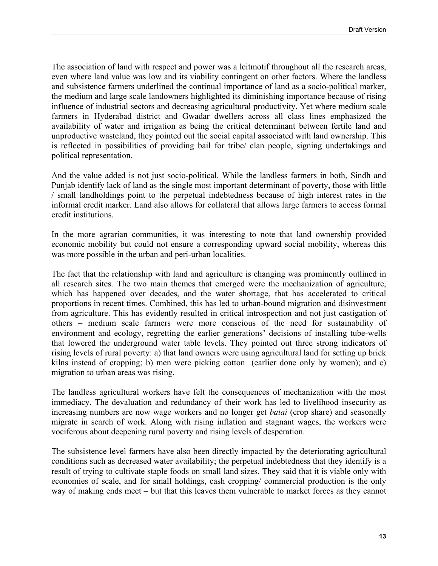The association of land with respect and power was a leitmotif throughout all the research areas, even where land value was low and its viability contingent on other factors. Where the landless and subsistence farmers underlined the continual importance of land as a socio-political marker, the medium and large scale landowners highlighted its diminishing importance because of rising influence of industrial sectors and decreasing agricultural productivity. Yet where medium scale farmers in Hyderabad district and Gwadar dwellers across all class lines emphasized the availability of water and irrigation as being the critical determinant between fertile land and unproductive wasteland, they pointed out the social capital associated with land ownership. This is reflected in possibilities of providing bail for tribe/ clan people, signing undertakings and political representation.

And the value added is not just socio-political. While the landless farmers in both, Sindh and Punjab identify lack of land as the single most important determinant of poverty, those with little / small landholdings point to the perpetual indebtedness because of high interest rates in the informal credit marker. Land also allows for collateral that allows large farmers to access formal credit institutions.

In the more agrarian communities, it was interesting to note that land ownership provided economic mobility but could not ensure a corresponding upward social mobility, whereas this was more possible in the urban and peri-urban localities.

The fact that the relationship with land and agriculture is changing was prominently outlined in all research sites. The two main themes that emerged were the mechanization of agriculture, which has happened over decades, and the water shortage, that has accelerated to critical proportions in recent times. Combined, this has led to urban-bound migration and disinvestment from agriculture. This has evidently resulted in critical introspection and not just castigation of others – medium scale farmers were more conscious of the need for sustainability of environment and ecology, regretting the earlier generations' decisions of installing tube-wells that lowered the underground water table levels. They pointed out three strong indicators of rising levels of rural poverty: a) that land owners were using agricultural land for setting up brick kilns instead of cropping; b) men were picking cotton (earlier done only by women); and c) migration to urban areas was rising.

The landless agricultural workers have felt the consequences of mechanization with the most immediacy. The devaluation and redundancy of their work has led to livelihood insecurity as increasing numbers are now wage workers and no longer get *batai* (crop share) and seasonally migrate in search of work. Along with rising inflation and stagnant wages, the workers were vociferous about deepening rural poverty and rising levels of desperation.

The subsistence level farmers have also been directly impacted by the deteriorating agricultural conditions such as decreased water availability; the perpetual indebtedness that they identify is a result of trying to cultivate staple foods on small land sizes. They said that it is viable only with economies of scale, and for small holdings, cash cropping/ commercial production is the only way of making ends meet – but that this leaves them vulnerable to market forces as they cannot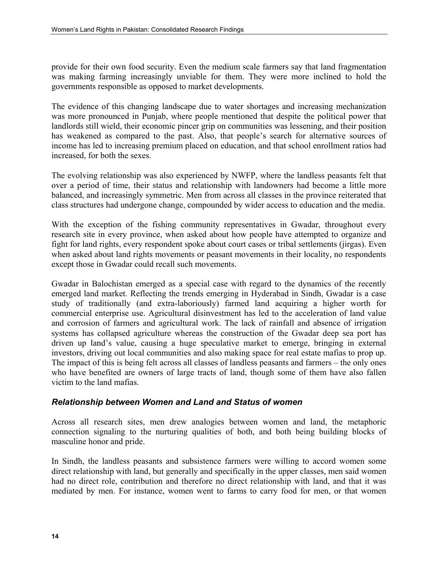provide for their own food security. Even the medium scale farmers say that land fragmentation was making farming increasingly unviable for them. They were more inclined to hold the governments responsible as opposed to market developments.

The evidence of this changing landscape due to water shortages and increasing mechanization was more pronounced in Punjab, where people mentioned that despite the political power that landlords still wield, their economic pincer grip on communities was lessening, and their position has weakened as compared to the past. Also, that people's search for alternative sources of income has led to increasing premium placed on education, and that school enrollment ratios had increased, for both the sexes.

The evolving relationship was also experienced by NWFP, where the landless peasants felt that over a period of time, their status and relationship with landowners had become a little more balanced, and increasingly symmetric. Men from across all classes in the province reiterated that class structures had undergone change, compounded by wider access to education and the media.

With the exception of the fishing community representatives in Gwadar, throughout every research site in every province, when asked about how people have attempted to organize and fight for land rights, every respondent spoke about court cases or tribal settlements (jirgas). Even when asked about land rights movements or peasant movements in their locality, no respondents except those in Gwadar could recall such movements.

Gwadar in Balochistan emerged as a special case with regard to the dynamics of the recently emerged land market. Reflecting the trends emerging in Hyderabad in Sindh, Gwadar is a case study of traditionally (and extra-laboriously) farmed land acquiring a higher worth for commercial enterprise use. Agricultural disinvestment has led to the acceleration of land value and corrosion of farmers and agricultural work. The lack of rainfall and absence of irrigation systems has collapsed agriculture whereas the construction of the Gwadar deep sea port has driven up land's value, causing a huge speculative market to emerge, bringing in external investors, driving out local communities and also making space for real estate mafias to prop up. The impact of this is being felt across all classes of landless peasants and farmers – the only ones who have benefited are owners of large tracts of land, though some of them have also fallen victim to the land mafias.

# *Relationship between Women and Land and Status of women*

Across all research sites, men drew analogies between women and land, the metaphoric connection signaling to the nurturing qualities of both, and both being building blocks of masculine honor and pride.

In Sindh, the landless peasants and subsistence farmers were willing to accord women some direct relationship with land, but generally and specifically in the upper classes, men said women had no direct role, contribution and therefore no direct relationship with land, and that it was mediated by men. For instance, women went to farms to carry food for men, or that women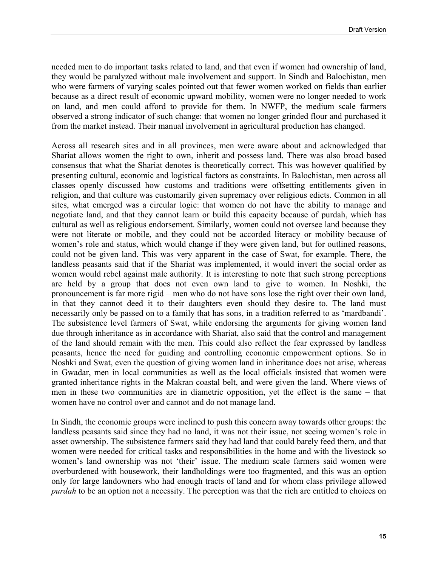needed men to do important tasks related to land, and that even if women had ownership of land, they would be paralyzed without male involvement and support. In Sindh and Balochistan, men who were farmers of varying scales pointed out that fewer women worked on fields than earlier because as a direct result of economic upward mobility, women were no longer needed to work on land, and men could afford to provide for them. In NWFP, the medium scale farmers observed a strong indicator of such change: that women no longer grinded flour and purchased it from the market instead. Their manual involvement in agricultural production has changed.

Across all research sites and in all provinces, men were aware about and acknowledged that Shariat allows women the right to own, inherit and possess land. There was also broad based consensus that what the Shariat denotes is theoretically correct. This was however qualified by presenting cultural, economic and logistical factors as constraints. In Balochistan, men across all classes openly discussed how customs and traditions were offsetting entitlements given in religion, and that culture was customarily given supremacy over religious edicts. Common in all sites, what emerged was a circular logic: that women do not have the ability to manage and negotiate land, and that they cannot learn or build this capacity because of purdah, which has cultural as well as religious endorsement. Similarly, women could not oversee land because they were not literate or mobile, and they could not be accorded literacy or mobility because of women's role and status, which would change if they were given land, but for outlined reasons, could not be given land. This was very apparent in the case of Swat, for example. There, the landless peasants said that if the Shariat was implemented, it would invert the social order as women would rebel against male authority. It is interesting to note that such strong perceptions are held by a group that does not even own land to give to women. In Noshki, the pronouncement is far more rigid – men who do not have sons lose the right over their own land, in that they cannot deed it to their daughters even should they desire to. The land must necessarily only be passed on to a family that has sons, in a tradition referred to as 'mardbandi'. The subsistence level farmers of Swat, while endorsing the arguments for giving women land due through inheritance as in accordance with Shariat, also said that the control and management of the land should remain with the men. This could also reflect the fear expressed by landless peasants, hence the need for guiding and controlling economic empowerment options. So in Noshki and Swat, even the question of giving women land in inheritance does not arise, whereas in Gwadar, men in local communities as well as the local officials insisted that women were granted inheritance rights in the Makran coastal belt, and were given the land. Where views of men in these two communities are in diametric opposition, yet the effect is the same – that women have no control over and cannot and do not manage land.

In Sindh, the economic groups were inclined to push this concern away towards other groups: the landless peasants said since they had no land, it was not their issue, not seeing women's role in asset ownership. The subsistence farmers said they had land that could barely feed them, and that women were needed for critical tasks and responsibilities in the home and with the livestock so women's land ownership was not 'their' issue. The medium scale farmers said women were overburdened with housework, their landholdings were too fragmented, and this was an option only for large landowners who had enough tracts of land and for whom class privilege allowed *purdah* to be an option not a necessity. The perception was that the rich are entitled to choices on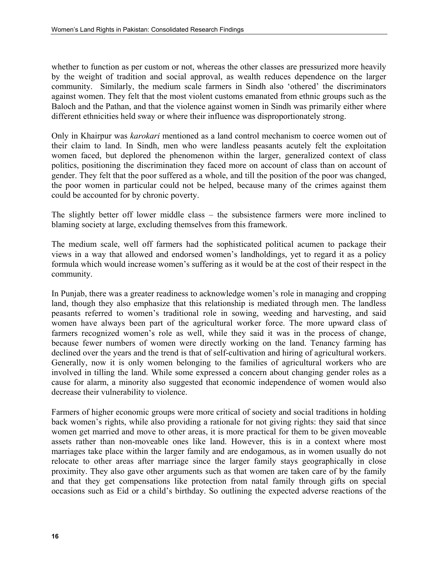whether to function as per custom or not, whereas the other classes are pressurized more heavily by the weight of tradition and social approval, as wealth reduces dependence on the larger community. Similarly, the medium scale farmers in Sindh also 'othered' the discriminators against women. They felt that the most violent customs emanated from ethnic groups such as the Baloch and the Pathan, and that the violence against women in Sindh was primarily either where different ethnicities held sway or where their influence was disproportionately strong.

Only in Khairpur was *karokari* mentioned as a land control mechanism to coerce women out of their claim to land. In Sindh, men who were landless peasants acutely felt the exploitation women faced, but deplored the phenomenon within the larger, generalized context of class politics, positioning the discrimination they faced more on account of class than on account of gender. They felt that the poor suffered as a whole, and till the position of the poor was changed, the poor women in particular could not be helped, because many of the crimes against them could be accounted for by chronic poverty.

The slightly better off lower middle class – the subsistence farmers were more inclined to blaming society at large, excluding themselves from this framework.

The medium scale, well off farmers had the sophisticated political acumen to package their views in a way that allowed and endorsed women's landholdings, yet to regard it as a policy formula which would increase women's suffering as it would be at the cost of their respect in the community.

In Punjab, there was a greater readiness to acknowledge women's role in managing and cropping land, though they also emphasize that this relationship is mediated through men. The landless peasants referred to women's traditional role in sowing, weeding and harvesting, and said women have always been part of the agricultural worker force. The more upward class of farmers recognized women's role as well, while they said it was in the process of change, because fewer numbers of women were directly working on the land. Tenancy farming has declined over the years and the trend is that of self-cultivation and hiring of agricultural workers. Generally, now it is only women belonging to the families of agricultural workers who are involved in tilling the land. While some expressed a concern about changing gender roles as a cause for alarm, a minority also suggested that economic independence of women would also decrease their vulnerability to violence.

Farmers of higher economic groups were more critical of society and social traditions in holding back women's rights, while also providing a rationale for not giving rights: they said that since women get married and move to other areas, it is more practical for them to be given moveable assets rather than non-moveable ones like land. However, this is in a context where most marriages take place within the larger family and are endogamous, as in women usually do not relocate to other areas after marriage since the larger family stays geographically in close proximity. They also gave other arguments such as that women are taken care of by the family and that they get compensations like protection from natal family through gifts on special occasions such as Eid or a child's birthday. So outlining the expected adverse reactions of the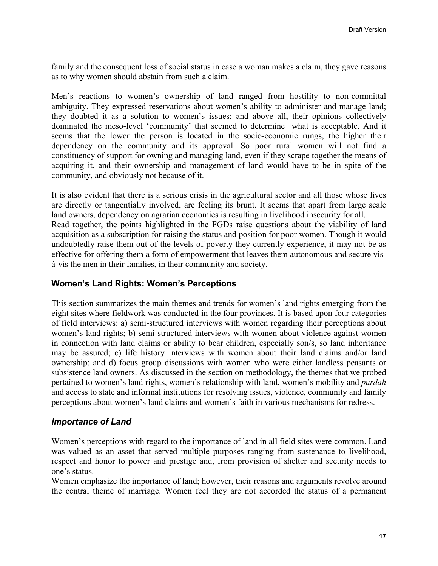family and the consequent loss of social status in case a woman makes a claim, they gave reasons as to why women should abstain from such a claim.

Men's reactions to women's ownership of land ranged from hostility to non-committal ambiguity. They expressed reservations about women's ability to administer and manage land; they doubted it as a solution to women's issues; and above all, their opinions collectively dominated the meso-level 'community' that seemed to determine what is acceptable. And it seems that the lower the person is located in the socio-economic rungs, the higher their dependency on the community and its approval. So poor rural women will not find a constituency of support for owning and managing land, even if they scrape together the means of acquiring it, and their ownership and management of land would have to be in spite of the community, and obviously not because of it.

It is also evident that there is a serious crisis in the agricultural sector and all those whose lives are directly or tangentially involved, are feeling its brunt. It seems that apart from large scale land owners, dependency on agrarian economies is resulting in livelihood insecurity for all. Read together, the points highlighted in the FGDs raise questions about the viability of land acquisition as a subscription for raising the status and position for poor women. Though it would undoubtedly raise them out of the levels of poverty they currently experience, it may not be as effective for offering them a form of empowerment that leaves them autonomous and secure visà-vis the men in their families, in their community and society.

#### **Women's Land Rights: Women's Perceptions**

This section summarizes the main themes and trends for women's land rights emerging from the eight sites where fieldwork was conducted in the four provinces. It is based upon four categories of field interviews: a) semi-structured interviews with women regarding their perceptions about women's land rights; b) semi-structured interviews with women about violence against women in connection with land claims or ability to bear children, especially son/s, so land inheritance may be assured; c) life history interviews with women about their land claims and/or land ownership; and d) focus group discussions with women who were either landless peasants or subsistence land owners. As discussed in the section on methodology, the themes that we probed pertained to women's land rights, women's relationship with land, women's mobility and *purdah* and access to state and informal institutions for resolving issues, violence, community and family perceptions about women's land claims and women's faith in various mechanisms for redress.

#### *Importance of Land*

Women's perceptions with regard to the importance of land in all field sites were common. Land was valued as an asset that served multiple purposes ranging from sustenance to livelihood, respect and honor to power and prestige and, from provision of shelter and security needs to one's status.

Women emphasize the importance of land; however, their reasons and arguments revolve around the central theme of marriage. Women feel they are not accorded the status of a permanent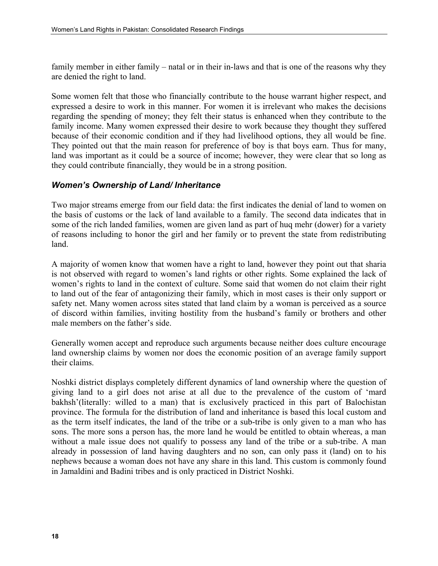family member in either family – natal or in their in-laws and that is one of the reasons why they are denied the right to land.

Some women felt that those who financially contribute to the house warrant higher respect, and expressed a desire to work in this manner. For women it is irrelevant who makes the decisions regarding the spending of money; they felt their status is enhanced when they contribute to the family income. Many women expressed their desire to work because they thought they suffered because of their economic condition and if they had livelihood options, they all would be fine. They pointed out that the main reason for preference of boy is that boys earn. Thus for many, land was important as it could be a source of income; however, they were clear that so long as they could contribute financially, they would be in a strong position.

# *Women's Ownership of Land/ Inheritance*

Two major streams emerge from our field data: the first indicates the denial of land to women on the basis of customs or the lack of land available to a family. The second data indicates that in some of the rich landed families, women are given land as part of huq mehr (dower) for a variety of reasons including to honor the girl and her family or to prevent the state from redistributing land.

A majority of women know that women have a right to land, however they point out that sharia is not observed with regard to women's land rights or other rights. Some explained the lack of women's rights to land in the context of culture. Some said that women do not claim their right to land out of the fear of antagonizing their family, which in most cases is their only support or safety net. Many women across sites stated that land claim by a woman is perceived as a source of discord within families, inviting hostility from the husband's family or brothers and other male members on the father's side.

Generally women accept and reproduce such arguments because neither does culture encourage land ownership claims by women nor does the economic position of an average family support their claims.

Noshki district displays completely different dynamics of land ownership where the question of giving land to a girl does not arise at all due to the prevalence of the custom of 'mard bakhsh'(literally: willed to a man) that is exclusively practiced in this part of Balochistan province. The formula for the distribution of land and inheritance is based this local custom and as the term itself indicates, the land of the tribe or a sub-tribe is only given to a man who has sons. The more sons a person has, the more land he would be entitled to obtain whereas, a man without a male issue does not qualify to possess any land of the tribe or a sub-tribe. A man already in possession of land having daughters and no son, can only pass it (land) on to his nephews because a woman does not have any share in this land. This custom is commonly found in Jamaldini and Badini tribes and is only practiced in District Noshki.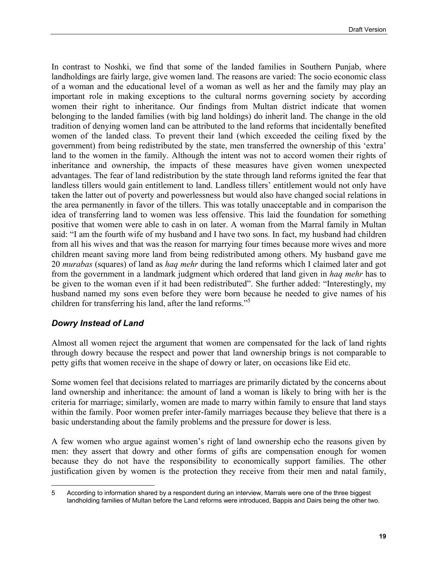In contrast to Noshki, we find that some of the landed families in Southern Punjab, where landholdings are fairly large, give women land. The reasons are varied: The socio economic class of a woman and the educational level of a woman as well as her and the family may play an important role in making exceptions to the cultural norms governing society by according women their right to inheritance. Our findings from Multan district indicate that women belonging to the landed families (with big land holdings) do inherit land. The change in the old tradition of denying women land can be attributed to the land reforms that incidentally benefited women of the landed class. To prevent their land (which exceeded the ceiling fixed by the government) from being redistributed by the state, men transferred the ownership of this 'extra' land to the women in the family. Although the intent was not to accord women their rights of inheritance and ownership, the impacts of these measures have given women unexpected advantages. The fear of land redistribution by the state through land reforms ignited the fear that landless tillers would gain entitlement to land. Landless tillers' entitlement would not only have taken the latter out of poverty and powerlessness but would also have changed social relations in the area permanently in favor of the tillers. This was totally unacceptable and in comparison the idea of transferring land to women was less offensive. This laid the foundation for something positive that women were able to cash in on later. A woman from the Marral family in Multan said: "I am the fourth wife of my husband and I have two sons. In fact, my husband had children from all his wives and that was the reason for marrying four times because more wives and more children meant saving more land from being redistributed among others. My husband gave me 20 *murabas* (squares) of land as *haq mehr* during the land reforms which I claimed later and got from the government in a landmark judgment which ordered that land given in *haq mehr* has to be given to the woman even if it had been redistributed". She further added: "Interestingly, my husband named my sons even before they were born because he needed to give names of his children for transferring his land, after the land reforms."<sup>5</sup>

#### *Dowry Instead of Land*

Almost all women reject the argument that women are compensated for the lack of land rights through dowry because the respect and power that land ownership brings is not comparable to petty gifts that women receive in the shape of dowry or later, on occasions like Eid etc.

Some women feel that decisions related to marriages are primarily dictated by the concerns about land ownership and inheritance: the amount of land a woman is likely to bring with her is the criteria for marriage; similarly, women are made to marry within family to ensure that land stays within the family. Poor women prefer inter-family marriages because they believe that there is a basic understanding about the family problems and the pressure for dower is less.

A few women who argue against women's right of land ownership echo the reasons given by men: they assert that dowry and other forms of gifts are compensation enough for women because they do not have the responsibility to economically support families. The other justification given by women is the protection they receive from their men and natal family,

<span id="page-24-0"></span> $\overline{a}$ 5 According to information shared by a respondent during an interview, Marrals were one of the three biggest landholding families of Multan before the Land reforms were introduced, Bappis and Dairs being the other two.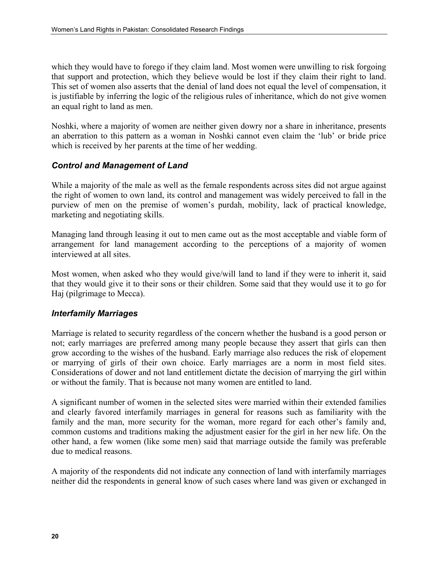which they would have to forego if they claim land. Most women were unwilling to risk forgoing that support and protection, which they believe would be lost if they claim their right to land. This set of women also asserts that the denial of land does not equal the level of compensation, it is justifiable by inferring the logic of the religious rules of inheritance, which do not give women an equal right to land as men.

Noshki, where a majority of women are neither given dowry nor a share in inheritance, presents an aberration to this pattern as a woman in Noshki cannot even claim the 'lub' or bride price which is received by her parents at the time of her wedding.

# *Control and Management of Land*

While a majority of the male as well as the female respondents across sites did not argue against the right of women to own land, its control and management was widely perceived to fall in the purview of men on the premise of women's purdah, mobility, lack of practical knowledge, marketing and negotiating skills.

Managing land through leasing it out to men came out as the most acceptable and viable form of arrangement for land management according to the perceptions of a majority of women interviewed at all sites.

Most women, when asked who they would give/will land to land if they were to inherit it, said that they would give it to their sons or their children. Some said that they would use it to go for Haj (pilgrimage to Mecca).

#### *Interfamily Marriages*

Marriage is related to security regardless of the concern whether the husband is a good person or not; early marriages are preferred among many people because they assert that girls can then grow according to the wishes of the husband. Early marriage also reduces the risk of elopement or marrying of girls of their own choice. Early marriages are a norm in most field sites. Considerations of dower and not land entitlement dictate the decision of marrying the girl within or without the family. That is because not many women are entitled to land.

A significant number of women in the selected sites were married within their extended families and clearly favored interfamily marriages in general for reasons such as familiarity with the family and the man, more security for the woman, more regard for each other's family and, common customs and traditions making the adjustment easier for the girl in her new life. On the other hand, a few women (like some men) said that marriage outside the family was preferable due to medical reasons.

A majority of the respondents did not indicate any connection of land with interfamily marriages neither did the respondents in general know of such cases where land was given or exchanged in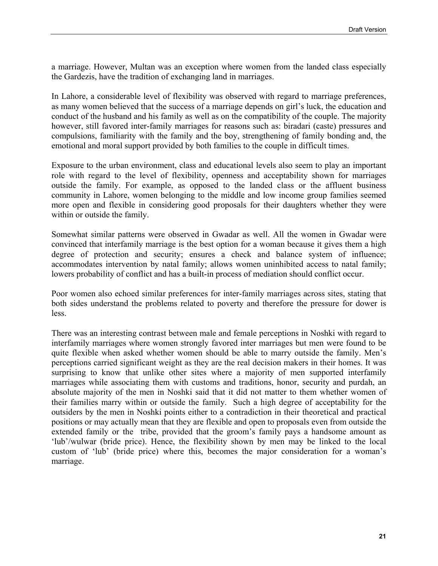a marriage. However, Multan was an exception where women from the landed class especially the Gardezis, have the tradition of exchanging land in marriages.

In Lahore, a considerable level of flexibility was observed with regard to marriage preferences, as many women believed that the success of a marriage depends on girl's luck, the education and conduct of the husband and his family as well as on the compatibility of the couple. The majority however, still favored inter-family marriages for reasons such as: biradari (caste) pressures and compulsions, familiarity with the family and the boy, strengthening of family bonding and, the emotional and moral support provided by both families to the couple in difficult times.

Exposure to the urban environment, class and educational levels also seem to play an important role with regard to the level of flexibility, openness and acceptability shown for marriages outside the family. For example, as opposed to the landed class or the affluent business community in Lahore, women belonging to the middle and low income group families seemed more open and flexible in considering good proposals for their daughters whether they were within or outside the family.

Somewhat similar patterns were observed in Gwadar as well. All the women in Gwadar were convinced that interfamily marriage is the best option for a woman because it gives them a high degree of protection and security; ensures a check and balance system of influence; accommodates intervention by natal family; allows women uninhibited access to natal family; lowers probability of conflict and has a built-in process of mediation should conflict occur.

Poor women also echoed similar preferences for inter-family marriages across sites, stating that both sides understand the problems related to poverty and therefore the pressure for dower is less.

There was an interesting contrast between male and female perceptions in Noshki with regard to interfamily marriages where women strongly favored inter marriages but men were found to be quite flexible when asked whether women should be able to marry outside the family. Men's perceptions carried significant weight as they are the real decision makers in their homes. It was surprising to know that unlike other sites where a majority of men supported interfamily marriages while associating them with customs and traditions, honor, security and purdah, an absolute majority of the men in Noshki said that it did not matter to them whether women of their families marry within or outside the family. Such a high degree of acceptability for the outsiders by the men in Noshki points either to a contradiction in their theoretical and practical positions or may actually mean that they are flexible and open to proposals even from outside the extended family or the tribe, provided that the groom's family pays a handsome amount as 'lub'/wulwar (bride price). Hence, the flexibility shown by men may be linked to the local custom of 'lub' (bride price) where this, becomes the major consideration for a woman's marriage.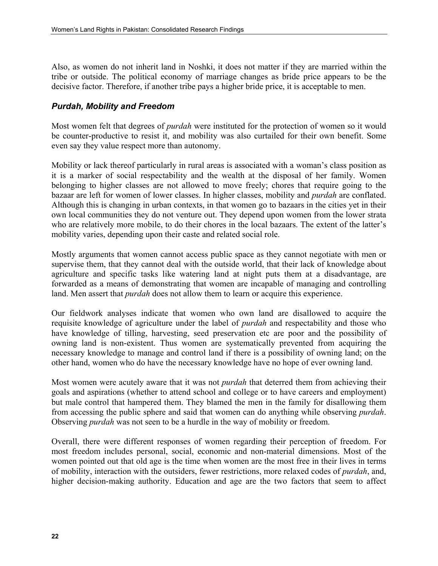Also, as women do not inherit land in Noshki, it does not matter if they are married within the tribe or outside. The political economy of marriage changes as bride price appears to be the decisive factor. Therefore, if another tribe pays a higher bride price, it is acceptable to men.

# *Purdah, Mobility and Freedom*

Most women felt that degrees of *purdah* were instituted for the protection of women so it would be counter-productive to resist it, and mobility was also curtailed for their own benefit. Some even say they value respect more than autonomy.

Mobility or lack thereof particularly in rural areas is associated with a woman's class position as it is a marker of social respectability and the wealth at the disposal of her family. Women belonging to higher classes are not allowed to move freely; chores that require going to the bazaar are left for women of lower classes. In higher classes, mobility and *purdah* are conflated. Although this is changing in urban contexts, in that women go to bazaars in the cities yet in their own local communities they do not venture out. They depend upon women from the lower strata who are relatively more mobile, to do their chores in the local bazaars. The extent of the latter's mobility varies, depending upon their caste and related social role.

Mostly arguments that women cannot access public space as they cannot negotiate with men or supervise them, that they cannot deal with the outside world, that their lack of knowledge about agriculture and specific tasks like watering land at night puts them at a disadvantage, are forwarded as a means of demonstrating that women are incapable of managing and controlling land. Men assert that *purdah* does not allow them to learn or acquire this experience.

Our fieldwork analyses indicate that women who own land are disallowed to acquire the requisite knowledge of agriculture under the label of *purdah* and respectability and those who have knowledge of tilling, harvesting, seed preservation etc are poor and the possibility of owning land is non-existent. Thus women are systematically prevented from acquiring the necessary knowledge to manage and control land if there is a possibility of owning land; on the other hand, women who do have the necessary knowledge have no hope of ever owning land.

Most women were acutely aware that it was not *purdah* that deterred them from achieving their goals and aspirations (whether to attend school and college or to have careers and employment) but male control that hampered them. They blamed the men in the family for disallowing them from accessing the public sphere and said that women can do anything while observing *purdah*. Observing *purdah* was not seen to be a hurdle in the way of mobility or freedom.

Overall, there were different responses of women regarding their perception of freedom. For most freedom includes personal, social, economic and non-material dimensions. Most of the women pointed out that old age is the time when women are the most free in their lives in terms of mobility, interaction with the outsiders, fewer restrictions, more relaxed codes of *purdah*, and, higher decision-making authority. Education and age are the two factors that seem to affect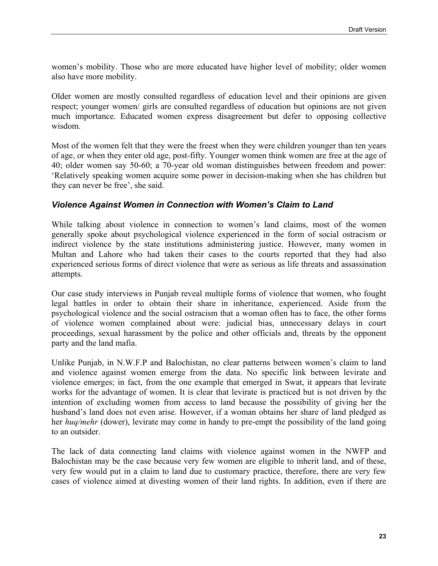women's mobility. Those who are more educated have higher level of mobility; older women also have more mobility.

Older women are mostly consulted regardless of education level and their opinions are given respect; younger women/ girls are consulted regardless of education but opinions are not given much importance. Educated women express disagreement but defer to opposing collective wisdom.

Most of the women felt that they were the freest when they were children younger than ten years of age, or when they enter old age, post-fifty. Younger women think women are free at the age of 40; older women say 50-60; a 70-year old woman distinguishes between freedom and power: 'Relatively speaking women acquire some power in decision-making when she has children but they can never be free', she said.

#### *Violence Against Women in Connection with Women's Claim to Land*

While talking about violence in connection to women's land claims, most of the women generally spoke about psychological violence experienced in the form of social ostracism or indirect violence by the state institutions administering justice. However, many women in Multan and Lahore who had taken their cases to the courts reported that they had also experienced serious forms of direct violence that were as serious as life threats and assassination attempts.

Our case study interviews in Punjab reveal multiple forms of violence that women, who fought legal battles in order to obtain their share in inheritance, experienced. Aside from the psychological violence and the social ostracism that a woman often has to face, the other forms of violence women complained about were: judicial bias, unnecessary delays in court proceedings, sexual harassment by the police and other officials and, threats by the opponent party and the land mafia.

Unlike Punjab, in N.W.F.P and Balochistan, no clear patterns between women's claim to land and violence against women emerge from the data. No specific link between levirate and violence emerges; in fact, from the one example that emerged in Swat, it appears that levirate works for the advantage of women. It is clear that levirate is practiced but is not driven by the intention of excluding women from access to land because the possibility of giving her the husband's land does not even arise. However, if a woman obtains her share of land pledged as her *huq/mehr* (dower), levirate may come in handy to pre-empt the possibility of the land going to an outsider.

The lack of data connecting land claims with violence against women in the NWFP and Balochistan may be the case because very few women are eligible to inherit land, and of these, very few would put in a claim to land due to customary practice, therefore, there are very few cases of violence aimed at divesting women of their land rights. In addition, even if there are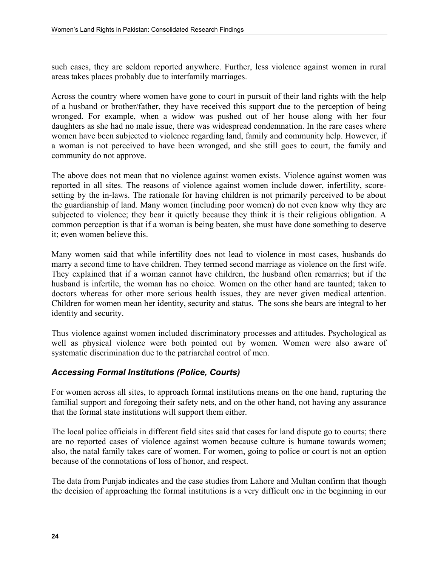such cases, they are seldom reported anywhere. Further, less violence against women in rural areas takes places probably due to interfamily marriages.

Across the country where women have gone to court in pursuit of their land rights with the help of a husband or brother/father, they have received this support due to the perception of being wronged. For example, when a widow was pushed out of her house along with her four daughters as she had no male issue, there was widespread condemnation. In the rare cases where women have been subjected to violence regarding land, family and community help. However, if a woman is not perceived to have been wronged, and she still goes to court, the family and community do not approve.

The above does not mean that no violence against women exists. Violence against women was reported in all sites. The reasons of violence against women include dower, infertility, scoresetting by the in-laws. The rationale for having children is not primarily perceived to be about the guardianship of land. Many women (including poor women) do not even know why they are subjected to violence; they bear it quietly because they think it is their religious obligation. A common perception is that if a woman is being beaten, she must have done something to deserve it; even women believe this.

Many women said that while infertility does not lead to violence in most cases, husbands do marry a second time to have children. They termed second marriage as violence on the first wife. They explained that if a woman cannot have children, the husband often remarries; but if the husband is infertile, the woman has no choice. Women on the other hand are taunted; taken to doctors whereas for other more serious health issues, they are never given medical attention. Children for women mean her identity, security and status. The sons she bears are integral to her identity and security.

Thus violence against women included discriminatory processes and attitudes. Psychological as well as physical violence were both pointed out by women. Women were also aware of systematic discrimination due to the patriarchal control of men.

# *Accessing Formal Institutions (Police, Courts)*

For women across all sites, to approach formal institutions means on the one hand, rupturing the familial support and foregoing their safety nets, and on the other hand, not having any assurance that the formal state institutions will support them either.

The local police officials in different field sites said that cases for land dispute go to courts; there are no reported cases of violence against women because culture is humane towards women; also, the natal family takes care of women. For women, going to police or court is not an option because of the connotations of loss of honor, and respect.

The data from Punjab indicates and the case studies from Lahore and Multan confirm that though the decision of approaching the formal institutions is a very difficult one in the beginning in our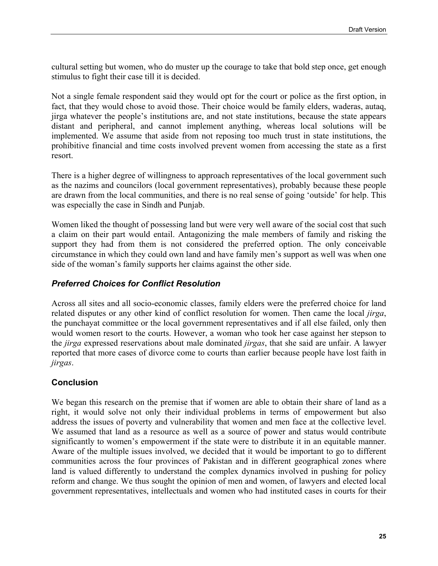cultural setting but women, who do muster up the courage to take that bold step once, get enough stimulus to fight their case till it is decided.

Not a single female respondent said they would opt for the court or police as the first option, in fact, that they would chose to avoid those. Their choice would be family elders, waderas, autaq, jirga whatever the people's institutions are, and not state institutions, because the state appears distant and peripheral, and cannot implement anything, whereas local solutions will be implemented. We assume that aside from not reposing too much trust in state institutions, the prohibitive financial and time costs involved prevent women from accessing the state as a first resort.

There is a higher degree of willingness to approach representatives of the local government such as the nazims and councilors (local government representatives), probably because these people are drawn from the local communities, and there is no real sense of going 'outside' for help. This was especially the case in Sindh and Punjab.

Women liked the thought of possessing land but were very well aware of the social cost that such a claim on their part would entail. Antagonizing the male members of family and risking the support they had from them is not considered the preferred option. The only conceivable circumstance in which they could own land and have family men's support as well was when one side of the woman's family supports her claims against the other side.

#### *Preferred Choices for Conflict Resolution*

Across all sites and all socio-economic classes, family elders were the preferred choice for land related disputes or any other kind of conflict resolution for women. Then came the local *jirga*, the punchayat committee or the local government representatives and if all else failed, only then would women resort to the courts. However, a woman who took her case against her stepson to the *jirga* expressed reservations about male dominated *jirgas*, that she said are unfair. A lawyer reported that more cases of divorce come to courts than earlier because people have lost faith in *jirgas*.

# **Conclusion**

We began this research on the premise that if women are able to obtain their share of land as a right, it would solve not only their individual problems in terms of empowerment but also address the issues of poverty and vulnerability that women and men face at the collective level. We assumed that land as a resource as well as a source of power and status would contribute significantly to women's empowerment if the state were to distribute it in an equitable manner. Aware of the multiple issues involved, we decided that it would be important to go to different communities across the four provinces of Pakistan and in different geographical zones where land is valued differently to understand the complex dynamics involved in pushing for policy reform and change. We thus sought the opinion of men and women, of lawyers and elected local government representatives, intellectuals and women who had instituted cases in courts for their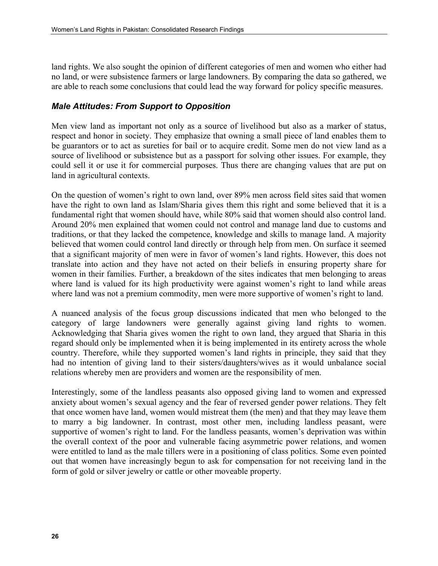land rights. We also sought the opinion of different categories of men and women who either had no land, or were subsistence farmers or large landowners. By comparing the data so gathered, we are able to reach some conclusions that could lead the way forward for policy specific measures.

# *Male Attitudes: From Support to Opposition*

Men view land as important not only as a source of livelihood but also as a marker of status, respect and honor in society. They emphasize that owning a small piece of land enables them to be guarantors or to act as sureties for bail or to acquire credit. Some men do not view land as a source of livelihood or subsistence but as a passport for solving other issues. For example, they could sell it or use it for commercial purposes. Thus there are changing values that are put on land in agricultural contexts.

On the question of women's right to own land, over 89% men across field sites said that women have the right to own land as Islam/Sharia gives them this right and some believed that it is a fundamental right that women should have, while 80% said that women should also control land. Around 20% men explained that women could not control and manage land due to customs and traditions, or that they lacked the competence, knowledge and skills to manage land. A majority believed that women could control land directly or through help from men. On surface it seemed that a significant majority of men were in favor of women's land rights. However, this does not translate into action and they have not acted on their beliefs in ensuring property share for women in their families. Further, a breakdown of the sites indicates that men belonging to areas where land is valued for its high productivity were against women's right to land while areas where land was not a premium commodity, men were more supportive of women's right to land.

A nuanced analysis of the focus group discussions indicated that men who belonged to the category of large landowners were generally against giving land rights to women. Acknowledging that Sharia gives women the right to own land, they argued that Sharia in this regard should only be implemented when it is being implemented in its entirety across the whole country. Therefore, while they supported women's land rights in principle, they said that they had no intention of giving land to their sisters/daughters/wives as it would unbalance social relations whereby men are providers and women are the responsibility of men.

Interestingly, some of the landless peasants also opposed giving land to women and expressed anxiety about women's sexual agency and the fear of reversed gender power relations. They felt that once women have land, women would mistreat them (the men) and that they may leave them to marry a big landowner. In contrast, most other men, including landless peasant, were supportive of women's right to land. For the landless peasants, women's deprivation was within the overall context of the poor and vulnerable facing asymmetric power relations, and women were entitled to land as the male tillers were in a positioning of class politics. Some even pointed out that women have increasingly begun to ask for compensation for not receiving land in the form of gold or silver jewelry or cattle or other moveable property.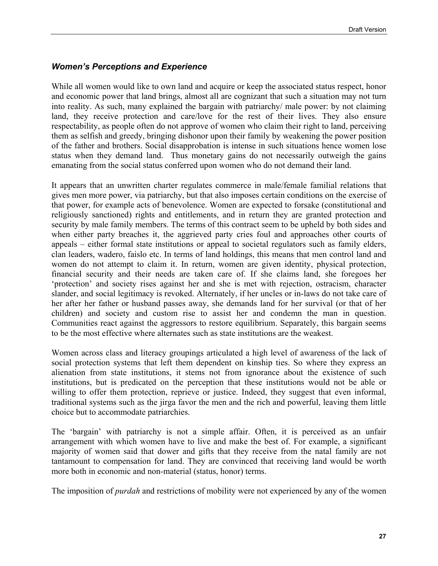# *Women's Perceptions and Experience*

While all women would like to own land and acquire or keep the associated status respect, honor and economic power that land brings, almost all are cognizant that such a situation may not turn into reality. As such, many explained the bargain with patriarchy/ male power: by not claiming land, they receive protection and care/love for the rest of their lives. They also ensure respectability, as people often do not approve of women who claim their right to land, perceiving them as selfish and greedy, bringing dishonor upon their family by weakening the power position of the father and brothers. Social disapprobation is intense in such situations hence women lose status when they demand land. Thus monetary gains do not necessarily outweigh the gains emanating from the social status conferred upon women who do not demand their land.

It appears that an unwritten charter regulates commerce in male/female familial relations that gives men more power, via patriarchy, but that also imposes certain conditions on the exercise of that power, for example acts of benevolence. Women are expected to forsake (constitutional and religiously sanctioned) rights and entitlements, and in return they are granted protection and security by male family members. The terms of this contract seem to be upheld by both sides and when either party breaches it, the aggrieved party cries foul and approaches other courts of appeals – either formal state institutions or appeal to societal regulators such as family elders, clan leaders, wadero, faislo etc. In terms of land holdings, this means that men control land and women do not attempt to claim it. In return, women are given identity, physical protection, financial security and their needs are taken care of. If she claims land, she foregoes her 'protection' and society rises against her and she is met with rejection, ostracism, character slander, and social legitimacy is revoked. Alternately, if her uncles or in-laws do not take care of her after her father or husband passes away, she demands land for her survival (or that of her children) and society and custom rise to assist her and condemn the man in question. Communities react against the aggressors to restore equilibrium. Separately, this bargain seems to be the most effective where alternates such as state institutions are the weakest.

Women across class and literacy groupings articulated a high level of awareness of the lack of social protection systems that left them dependent on kinship ties. So where they express an alienation from state institutions, it stems not from ignorance about the existence of such institutions, but is predicated on the perception that these institutions would not be able or willing to offer them protection, reprieve or justice. Indeed, they suggest that even informal, traditional systems such as the jirga favor the men and the rich and powerful, leaving them little choice but to accommodate patriarchies.

The 'bargain' with patriarchy is not a simple affair. Often, it is perceived as an unfair arrangement with which women have to live and make the best of. For example, a significant majority of women said that dower and gifts that they receive from the natal family are not tantamount to compensation for land. They are convinced that receiving land would be worth more both in economic and non-material (status, honor) terms.

The imposition of *purdah* and restrictions of mobility were not experienced by any of the women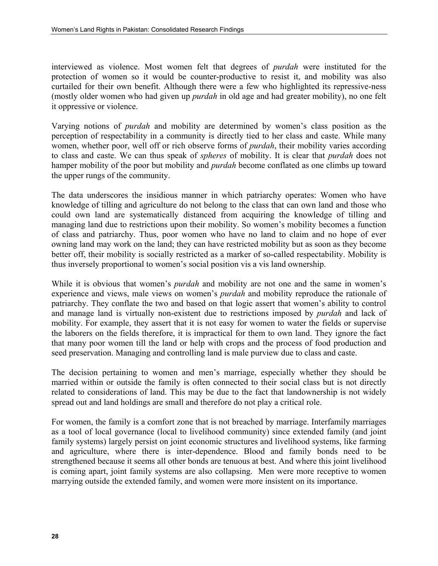interviewed as violence. Most women felt that degrees of *purdah* were instituted for the protection of women so it would be counter-productive to resist it, and mobility was also curtailed for their own benefit. Although there were a few who highlighted its repressive-ness (mostly older women who had given up *purdah* in old age and had greater mobility), no one felt it oppressive or violence.

Varying notions of *purdah* and mobility are determined by women's class position as the perception of respectability in a community is directly tied to her class and caste. While many women, whether poor, well off or rich observe forms of *purdah*, their mobility varies according to class and caste. We can thus speak of *spheres* of mobility. It is clear that *purdah* does not hamper mobility of the poor but mobility and *purdah* become conflated as one climbs up toward the upper rungs of the community.

The data underscores the insidious manner in which patriarchy operates: Women who have knowledge of tilling and agriculture do not belong to the class that can own land and those who could own land are systematically distanced from acquiring the knowledge of tilling and managing land due to restrictions upon their mobility. So women's mobility becomes a function of class and patriarchy. Thus, poor women who have no land to claim and no hope of ever owning land may work on the land; they can have restricted mobility but as soon as they become better off, their mobility is socially restricted as a marker of so-called respectability. Mobility is thus inversely proportional to women's social position vis a vis land ownership.

While it is obvious that women's *purdah* and mobility are not one and the same in women's experience and views, male views on women's *purdah* and mobility reproduce the rationale of patriarchy. They conflate the two and based on that logic assert that women's ability to control and manage land is virtually non-existent due to restrictions imposed by *purdah* and lack of mobility. For example, they assert that it is not easy for women to water the fields or supervise the laborers on the fields therefore, it is impractical for them to own land. They ignore the fact that many poor women till the land or help with crops and the process of food production and seed preservation. Managing and controlling land is male purview due to class and caste.

The decision pertaining to women and men's marriage, especially whether they should be married within or outside the family is often connected to their social class but is not directly related to considerations of land. This may be due to the fact that landownership is not widely spread out and land holdings are small and therefore do not play a critical role.

For women, the family is a comfort zone that is not breached by marriage. Interfamily marriages as a tool of local governance (local to livelihood community) since extended family (and joint family systems) largely persist on joint economic structures and livelihood systems, like farming and agriculture, where there is inter-dependence. Blood and family bonds need to be strengthened because it seems all other bonds are tenuous at best. And where this joint livelihood is coming apart, joint family systems are also collapsing. Men were more receptive to women marrying outside the extended family, and women were more insistent on its importance.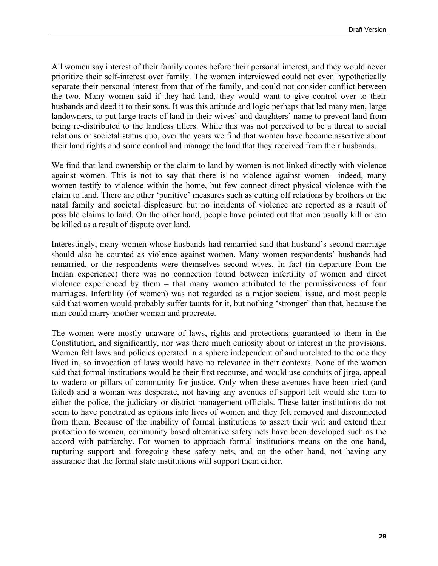All women say interest of their family comes before their personal interest, and they would never prioritize their self-interest over family. The women interviewed could not even hypothetically separate their personal interest from that of the family, and could not consider conflict between the two. Many women said if they had land, they would want to give control over to their husbands and deed it to their sons. It was this attitude and logic perhaps that led many men, large landowners, to put large tracts of land in their wives' and daughters' name to prevent land from being re-distributed to the landless tillers. While this was not perceived to be a threat to social relations or societal status quo, over the years we find that women have become assertive about their land rights and some control and manage the land that they received from their husbands.

We find that land ownership or the claim to land by women is not linked directly with violence against women. This is not to say that there is no violence against women—indeed, many women testify to violence within the home, but few connect direct physical violence with the claim to land. There are other 'punitive' measures such as cutting off relations by brothers or the natal family and societal displeasure but no incidents of violence are reported as a result of possible claims to land. On the other hand, people have pointed out that men usually kill or can be killed as a result of dispute over land.

Interestingly, many women whose husbands had remarried said that husband's second marriage should also be counted as violence against women. Many women respondents' husbands had remarried, or the respondents were themselves second wives. In fact (in departure from the Indian experience) there was no connection found between infertility of women and direct violence experienced by them – that many women attributed to the permissiveness of four marriages. Infertility (of women) was not regarded as a major societal issue, and most people said that women would probably suffer taunts for it, but nothing 'stronger' than that, because the man could marry another woman and procreate.

The women were mostly unaware of laws, rights and protections guaranteed to them in the Constitution, and significantly, nor was there much curiosity about or interest in the provisions. Women felt laws and policies operated in a sphere independent of and unrelated to the one they lived in, so invocation of laws would have no relevance in their contexts. None of the women said that formal institutions would be their first recourse, and would use conduits of jirga, appeal to wadero or pillars of community for justice. Only when these avenues have been tried (and failed) and a woman was desperate, not having any avenues of support left would she turn to either the police, the judiciary or district management officials. These latter institutions do not seem to have penetrated as options into lives of women and they felt removed and disconnected from them. Because of the inability of formal institutions to assert their writ and extend their protection to women, community based alternative safety nets have been developed such as the accord with patriarchy. For women to approach formal institutions means on the one hand, rupturing support and foregoing these safety nets, and on the other hand, not having any assurance that the formal state institutions will support them either.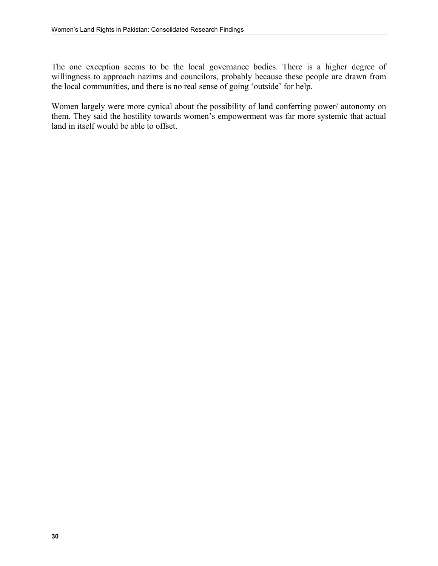The one exception seems to be the local governance bodies. There is a higher degree of willingness to approach nazims and councilors, probably because these people are drawn from the local communities, and there is no real sense of going 'outside' for help.

Women largely were more cynical about the possibility of land conferring power/ autonomy on them. They said the hostility towards women's empowerment was far more systemic that actual land in itself would be able to offset.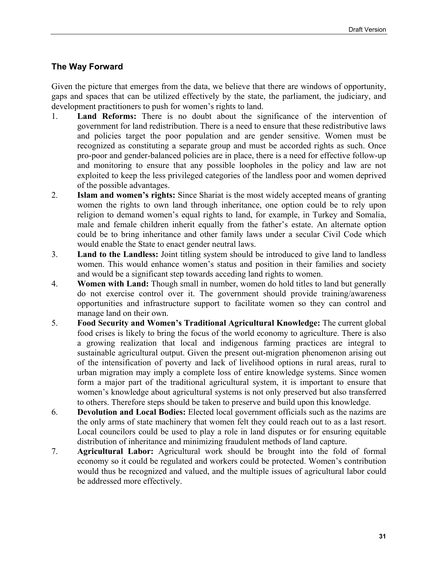# **The Way Forward**

Given the picture that emerges from the data, we believe that there are windows of opportunity, gaps and spaces that can be utilized effectively by the state, the parliament, the judiciary, and development practitioners to push for women's rights to land.

- 1. **Land Reforms:** There is no doubt about the significance of the intervention of government for land redistribution. There is a need to ensure that these redistributive laws and policies target the poor population and are gender sensitive. Women must be recognized as constituting a separate group and must be accorded rights as such. Once pro-poor and gender-balanced policies are in place, there is a need for effective follow-up and monitoring to ensure that any possible loopholes in the policy and law are not exploited to keep the less privileged categories of the landless poor and women deprived of the possible advantages.
- 2. **Islam and women's rights:** Since Shariat is the most widely accepted means of granting women the rights to own land through inheritance, one option could be to rely upon religion to demand women's equal rights to land, for example, in Turkey and Somalia, male and female children inherit equally from the father's estate. An alternate option could be to bring inheritance and other family laws under a secular Civil Code which would enable the State to enact gender neutral laws.
- 3. **Land to the Landless:** Joint titling system should be introduced to give land to landless women. This would enhance women's status and position in their families and society and would be a significant step towards acceding land rights to women.
- 4. **Women with Land:** Though small in number, women do hold titles to land but generally do not exercise control over it. The government should provide training/awareness opportunities and infrastructure support to facilitate women so they can control and manage land on their own.
- 5. **Food Security and Women's Traditional Agricultural Knowledge:** The current global food crises is likely to bring the focus of the world economy to agriculture. There is also a growing realization that local and indigenous farming practices are integral to sustainable agricultural output. Given the present out-migration phenomenon arising out of the intensification of poverty and lack of livelihood options in rural areas, rural to urban migration may imply a complete loss of entire knowledge systems. Since women form a major part of the traditional agricultural system, it is important to ensure that women's knowledge about agricultural systems is not only preserved but also transferred to others. Therefore steps should be taken to preserve and build upon this knowledge.
- 6. **Devolution and Local Bodies:** Elected local government officials such as the nazims are the only arms of state machinery that women felt they could reach out to as a last resort. Local councilors could be used to play a role in land disputes or for ensuring equitable distribution of inheritance and minimizing fraudulent methods of land capture.
- 7. **Agricultural Labor:** Agricultural work should be brought into the fold of formal economy so it could be regulated and workers could be protected. Women's contribution would thus be recognized and valued, and the multiple issues of agricultural labor could be addressed more effectively.